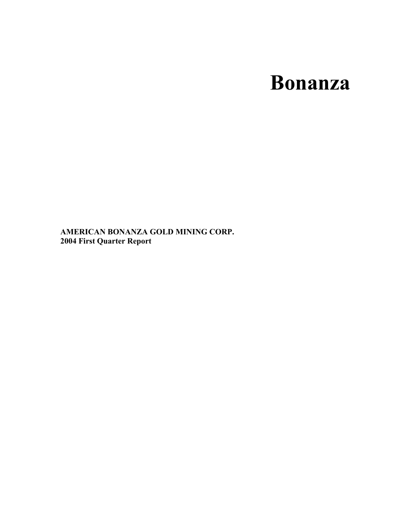# **Bonanza**

**AMERICAN BONANZA GOLD MINING CORP. 2004 First Quarter Report**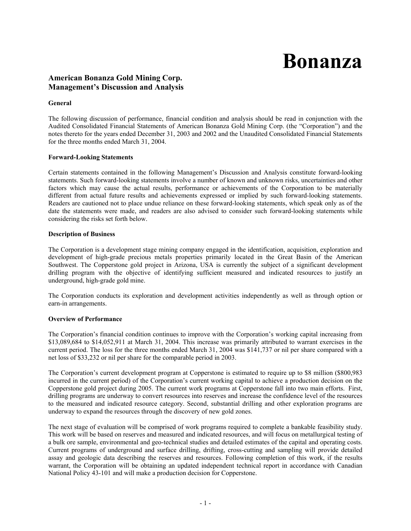# **Bonanza**

### **American Bonanza Gold Mining Corp. Management's Discussion and Analysis**

#### **General**

The following discussion of performance, financial condition and analysis should be read in conjunction with the Audited Consolidated Financial Statements of American Bonanza Gold Mining Corp. (the "Corporation") and the notes thereto for the years ended December 31, 2003 and 2002 and the Unaudited Consolidated Financial Statements for the three months ended March 31, 2004.

#### **Forward-Looking Statements**

Certain statements contained in the following Management's Discussion and Analysis constitute forward-looking statements. Such forward-looking statements involve a number of known and unknown risks, uncertainties and other factors which may cause the actual results, performance or achievements of the Corporation to be materially different from actual future results and achievements expressed or implied by such forward-looking statements. Readers are cautioned not to place undue reliance on these forward-looking statements, which speak only as of the date the statements were made, and readers are also advised to consider such forward-looking statements while considering the risks set forth below.

#### **Description of Business**

The Corporation is a development stage mining company engaged in the identification, acquisition, exploration and development of high-grade precious metals properties primarily located in the Great Basin of the American Southwest. The Copperstone gold project in Arizona, USA is currently the subject of a significant development drilling program with the objective of identifying sufficient measured and indicated resources to justify an underground, high-grade gold mine.

The Corporation conducts its exploration and development activities independently as well as through option or earn-in arrangements.

#### **Overview of Performance**

The Corporation's financial condition continues to improve with the Corporation's working capital increasing from \$13,089,684 to \$14,052,911 at March 31, 2004. This increase was primarily attributed to warrant exercises in the current period. The loss for the three months ended March 31, 2004 was \$141,737 or nil per share compared with a net loss of \$33,232 or nil per share for the comparable period in 2003.

The Corporation's current development program at Copperstone is estimated to require up to \$8 million (\$800,983 incurred in the current period) of the Corporation's current working capital to achieve a production decision on the Copperstone gold project during 2005. The current work programs at Copperstone fall into two main efforts. First, drilling programs are underway to convert resources into reserves and increase the confidence level of the resources to the measured and indicated resource category. Second, substantial drilling and other exploration programs are underway to expand the resources through the discovery of new gold zones.

The next stage of evaluation will be comprised of work programs required to complete a bankable feasibility study. This work will be based on reserves and measured and indicated resources, and will focus on metallurgical testing of a bulk ore sample, environmental and geo-technical studies and detailed estimates of the capital and operating costs. Current programs of underground and surface drilling, drifting, cross-cutting and sampling will provide detailed assay and geologic data describing the reserves and resources. Following completion of this work, if the results warrant, the Corporation will be obtaining an updated independent technical report in accordance with Canadian National Policy 43-101 and will make a production decision for Copperstone.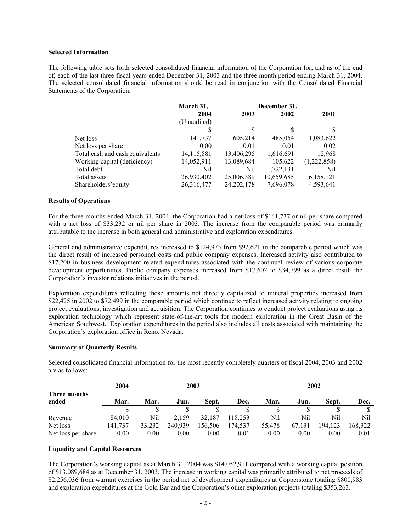#### **Selected Information**

The following table sets forth selected consolidated financial information of the Corporation for, and as of the end of, each of the last three fiscal years ended December 31, 2003 and the three month period ending March 31, 2004. The selected consolidated financial information should be read in conjunction with the Consolidated Financial Statements of the Corporation.

|                                 | March 31,    |              | December 31, |             |
|---------------------------------|--------------|--------------|--------------|-------------|
|                                 | 2004         | 2003         | 2002         | 2001        |
|                                 | (Unaudited)  |              |              |             |
|                                 |              | S            | S            | S           |
| Net loss                        | 141,737      | 605,214      | 485,054      | 1,083,622   |
| Net loss per share              | 0.00         | 0.01         | 0.01         | 0.02        |
| Total cash and cash equivalents | 14, 115, 881 | 13,406,295   | 1,616,691    | 12,968      |
| Working capital (deficiency)    | 14,052,911   | 13,089,684   | 105,622      | (1,222,858) |
| Total debt                      | Nil          | Nil          | 1,722,131    | Nil         |
| Total assets                    | 26,930,402   | 25,006,389   | 10,659,685   | 6,158,121   |
| Shareholders' equity            | 26,316,477   | 24, 202, 178 | 7,696,078    | 4,593,641   |

#### **Results of Operations**

For the three months ended March 31, 2004, the Corporation had a net loss of \$141,737 or nil per share compared with a net loss of \$33,232 or nil per share in 2003. The increase from the comparable period was primarily attributable to the increase in both general and administrative and exploration expenditures.

General and administrative expenditures increased to \$124,973 from \$92,621 in the comparable period which was the direct result of increased personnel costs and public company expenses. Increased activity also contributed to \$17,200 in business development related expenditures associated with the continual review of various corporate development opportunities. Public company expenses increased from \$17,602 to \$34,799 as a direct result the Corporation's investor relations initiatives in the period.

Exploration expenditures reflecting those amounts not directly capitalized to mineral properties increased from \$22,425 in 2002 to \$72,499 in the comparable period which continue to reflect increased activity relating to ongoing project evaluations, investigation and acquisition. The Corporation continues to conduct project evaluations using its exploration technology which represent state-of-the-art tools for modern exploration in the Great Basin of the American Southwest. Exploration expenditures in the period also includes all costs associated with maintaining the Corporation's exploration office in Reno, Nevada.

#### **Summary of Quarterly Results**

|                       | 2004    |        |         | 2003    |         |        | 2002   |         |         |
|-----------------------|---------|--------|---------|---------|---------|--------|--------|---------|---------|
| Three months<br>ended | Mar.    | Mar.   | Jun.    | Sept.   | Dec.    | Mar.   | Jun.   | Sept.   | Dec.    |
|                       |         |        |         |         |         |        |        |         |         |
| Revenue               | 84.010  | Nil    | 2.159   | 32.187  | 118.253 | Nil    | Nil    | Nil     | Nil     |
| Net loss              | 141,737 | 33,232 | 240.939 | 156,506 | 174,537 | 55,478 | 67.131 | 194.123 | 168,322 |
| Net loss per share    | 0.00    | 0.00   | 0.00    | 0.00    | 0.01    | 0.00   | 0.00   | 0.00    | 0.01    |

Selected consolidated financial information for the most recently completely quarters of fiscal 2004, 2003 and 2002 are as follows:

#### **Liquidity and Capital Resources**

The Corporation's working capital as at March 31, 2004 was \$14,052,911 compared with a working capital position of \$13,089,684 as at December 31, 2003. The increase in working capital was primarily attributed to net proceeds of \$2,256,036 from warrant exercises in the period net of development expenditures at Copperstone totaling \$800,983 and exploration expenditures at the Gold Bar and the Corporation's other exploration projects totaling \$353,263.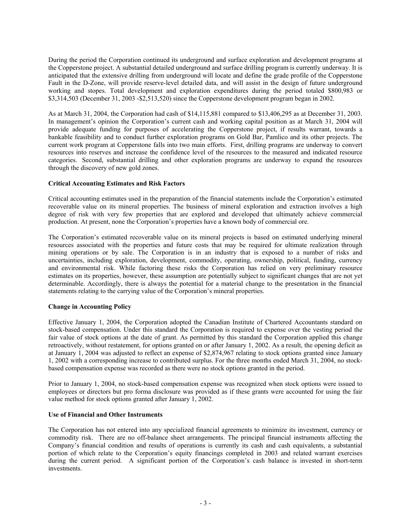During the period the Corporation continued its underground and surface exploration and development programs at the Copperstone project. A substantial detailed underground and surface drilling program is currently underway. It is anticipated that the extensive drilling from underground will locate and define the grade profile of the Copperstone Fault in the D-Zone, will provide reserve-level detailed data, and will assist in the design of future underground working and stopes. Total development and exploration expenditures during the period totaled \$800,983 or \$3,314,503 (December 31, 2003 -\$2,513,520) since the Copperstone development program began in 2002.

As at March 31, 2004, the Corporation had cash of \$14,115,881 compared to \$13,406,295 as at December 31, 2003. In management's opinion the Corporation's current cash and working capital position as at March 31, 2004 will provide adequate funding for purposes of accelerating the Copperstone project, if results warrant, towards a bankable feasibility and to conduct further exploration programs on Gold Bar, Pamlico and its other projects. The current work program at Copperstone falls into two main efforts. First, drilling programs are underway to convert resources into reserves and increase the confidence level of the resources to the measured and indicated resource categories. Second, substantial drilling and other exploration programs are underway to expand the resources through the discovery of new gold zones.

#### **Critical Accounting Estimates and Risk Factors**

Critical accounting estimates used in the preparation of the financial statements include the Corporation's estimated recoverable value on its mineral properties. The business of mineral exploration and extraction involves a high degree of risk with very few properties that are explored and developed that ultimately achieve commercial production. At present, none the Corporation's properties have a known body of commercial ore.

The Corporation's estimated recoverable value on its mineral projects is based on estimated underlying mineral resources associated with the properties and future costs that may be required for ultimate realization through mining operations or by sale. The Corporation is in an industry that is exposed to a number of risks and uncertainties, including exploration, development, commodity, operating, ownership, political, funding, currency and environmental risk. While factoring these risks the Corporation has relied on very preliminary resource estimates on its properties, however, these assumption are potentially subject to significant changes that are not yet determinable. Accordingly, there is always the potential for a material change to the presentation in the financial statements relating to the carrying value of the Corporation's mineral properties.

#### **Change in Accounting Policy**

Effective January 1, 2004, the Corporation adopted the Canadian Institute of Chartered Accountants standard on stock-based compensation. Under this standard the Corporation is required to expense over the vesting period the fair value of stock options at the date of grant. As permitted by this standard the Corporation applied this change retroactively, without restatement, for options granted on or after January 1, 2002. As a result, the opening deficit as at January 1, 2004 was adjusted to reflect an expense of \$2,874,967 relating to stock options granted since January 1, 2002 with a corresponding increase to contributed surplus. For the three months ended March 31, 2004, no stockbased compensation expense was recorded as there were no stock options granted in the period.

Prior to January 1, 2004, no stock-based compensation expense was recognized when stock options were issued to employees or directors but pro forma disclosure was provided as if these grants were accounted for using the fair value method for stock options granted after January 1, 2002.

#### **Use of Financial and Other Instruments**

The Corporation has not entered into any specialized financial agreements to minimize its investment, currency or commodity risk. There are no off-balance sheet arrangements. The principal financial instruments affecting the Company's financial condition and results of operations is currently its cash and cash equivalents, a substantial portion of which relate to the Corporation's equity financings completed in 2003 and related warrant exercises during the current period. A significant portion of the Corporation's cash balance is invested in short-term investments.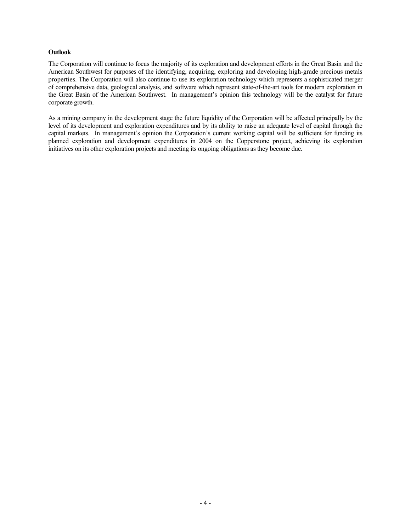#### **Outlook**

The Corporation will continue to focus the majority of its exploration and development efforts in the Great Basin and the American Southwest for purposes of the identifying, acquiring, exploring and developing high-grade precious metals properties. The Corporation will also continue to use its exploration technology which represents a sophisticated merger of comprehensive data, geological analysis, and software which represent state-of-the-art tools for modern exploration in the Great Basin of the American Southwest. In management's opinion this technology will be the catalyst for future corporate growth.

As a mining company in the development stage the future liquidity of the Corporation will be affected principally by the level of its development and exploration expenditures and by its ability to raise an adequate level of capital through the capital markets. In management's opinion the Corporation's current working capital will be sufficient for funding its planned exploration and development expenditures in 2004 on the Copperstone project, achieving its exploration initiatives on its other exploration projects and meeting its ongoing obligations as they become due.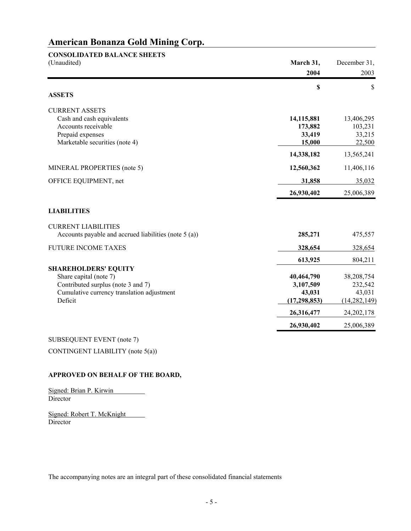| <b>CONSOLIDATED BALANCE SHEETS</b>                                               |                     |                   |
|----------------------------------------------------------------------------------|---------------------|-------------------|
| (Unaudited)                                                                      | March 31,           | December 31,      |
|                                                                                  | 2004                | 2003              |
|                                                                                  | \$                  | \$                |
| <b>ASSETS</b>                                                                    |                     |                   |
| <b>CURRENT ASSETS</b>                                                            |                     |                   |
| Cash and cash equivalents                                                        | 14,115,881          | 13,406,295        |
| Accounts receivable                                                              | 173,882             | 103,231           |
| Prepaid expenses                                                                 | 33,419              | 33,215            |
| Marketable securities (note 4)                                                   | 15,000              | 22,500            |
|                                                                                  | 14,338,182          | 13,565,241        |
| MINERAL PROPERTIES (note 5)                                                      | 12,560,362          | 11,406,116        |
| OFFICE EQUIPMENT, net                                                            | 31,858              | 35,032            |
|                                                                                  | 26,930,402          | 25,006,389        |
| <b>LIABILITIES</b>                                                               |                     |                   |
| <b>CURRENT LIABILITIES</b>                                                       |                     |                   |
| Accounts payable and accrued liabilities (note 5 (a))                            | 285,271             | 475,557           |
| <b>FUTURE INCOME TAXES</b>                                                       | 328,654             | 328,654           |
|                                                                                  | 613,925             | 804,211           |
| <b>SHAREHOLDERS' EQUITY</b>                                                      |                     |                   |
| Share capital (note 7)                                                           | 40,464,790          | 38,208,754        |
| Contributed surplus (note 3 and 7)<br>Cumulative currency translation adjustment | 3,107,509<br>43,031 | 232,542<br>43,031 |
| Deficit                                                                          | (17, 298, 853)      | (14, 282, 149)    |
|                                                                                  | 26,316,477          | 24, 202, 178      |
|                                                                                  | 26,930,402          | 25,006,389        |
| CHIDCEOHEMT EVENT $(n_0t_0, 7)$                                                  |                     |                   |

# SUBSEQUENT EVENT (note 7)

CONTINGENT LIABILITY (note 5(a))

#### **APPROVED ON BEHALF OF THE BOARD,**

Signed: Brian P. Kirwin **Director** 

Signed: Robert T. McKnight Director

The accompanying notes are an integral part of these consolidated financial statements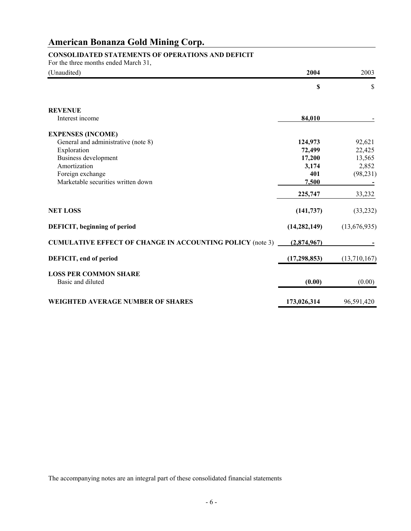## **CONSOLIDATED STATEMENTS OF OPERATIONS AND DEFICIT**

For the three months ended March 31,

| (Unaudited)                                               | 2004           | 2003         |
|-----------------------------------------------------------|----------------|--------------|
|                                                           | \$             | \$           |
| <b>REVENUE</b>                                            |                |              |
| Interest income                                           | 84,010         |              |
| <b>EXPENSES (INCOME)</b>                                  |                |              |
| General and administrative (note 8)                       | 124,973        | 92,621       |
| Exploration                                               | 72,499         | 22,425       |
| Business development                                      | 17,200         | 13,565       |
| Amortization                                              | 3,174          | 2,852        |
| Foreign exchange                                          | 401            | (98, 231)    |
| Marketable securities written down                        | 7,500          |              |
|                                                           | 225,747        | 33,232       |
| <b>NET LOSS</b>                                           | (141, 737)     | (33, 232)    |
| DEFICIT, beginning of period                              | (14, 282, 149) | (13,676,935) |
| CUMULATIVE EFFECT OF CHANGE IN ACCOUNTING POLICY (note 3) | (2,874,967)    |              |
| DEFICIT, end of period                                    | (17, 298, 853) | (13,710,167) |
| <b>LOSS PER COMMON SHARE</b>                              |                |              |
| Basic and diluted                                         | (0.00)         | (0.00)       |
| <b>WEIGHTED AVERAGE NUMBER OF SHARES</b>                  | 173,026,314    | 96,591,420   |

The accompanying notes are an integral part of these consolidated financial statements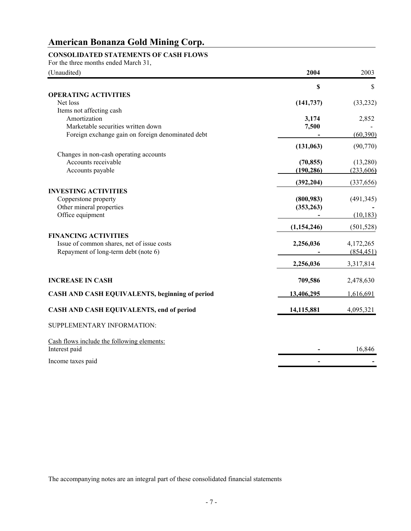### **CONSOLIDATED STATEMENTS OF CASH FLOWS**

For the three months ended March 31,

| (Unaudited)                                        | 2004                    | 2003                   |
|----------------------------------------------------|-------------------------|------------------------|
|                                                    | \$                      | \$                     |
| <b>OPERATING ACTIVITIES</b>                        |                         |                        |
| Net loss                                           | (141, 737)              | (33, 232)              |
| Items not affecting cash                           |                         |                        |
| Amortization<br>Marketable securities written down | 3,174<br>7,500          | 2,852                  |
| Foreign exchange gain on foreign denominated debt  |                         | (60, 390)              |
|                                                    |                         |                        |
|                                                    | (131, 063)              | (90, 770)              |
| Changes in non-cash operating accounts             |                         |                        |
| Accounts receivable<br>Accounts payable            | (70, 855)<br>(190, 286) | (13,280)<br>(233, 606) |
|                                                    |                         |                        |
|                                                    | (392, 204)              | (337, 656)             |
| <b>INVESTING ACTIVITIES</b>                        |                         |                        |
| Copperstone property                               | (800, 983)              | (491, 345)             |
| Other mineral properties                           | (353, 263)              |                        |
| Office equipment                                   |                         | (10, 183)              |
|                                                    | (1, 154, 246)           | (501, 528)             |
| <b>FINANCING ACTIVITIES</b>                        |                         |                        |
| Issue of common shares, net of issue costs         | 2,256,036               | 4,172,265              |
| Repayment of long-term debt (note 6)               |                         | (854, 451)             |
|                                                    | 2,256,036               | 3,317,814              |
| <b>INCREASE IN CASH</b>                            | 709,586                 | 2,478,630              |
|                                                    |                         |                        |
| CASH AND CASH EQUIVALENTS, beginning of period     | 13,406,295              | 1,616,691              |
| CASH AND CASH EQUIVALENTS, end of period           | 14,115,881              | 4,095,321              |
| SUPPLEMENTARY INFORMATION:                         |                         |                        |
| Cash flows include the following elements:         |                         |                        |
| Interest paid                                      |                         | 16,846                 |
| Income taxes paid                                  |                         |                        |

The accompanying notes are an integral part of these consolidated financial statements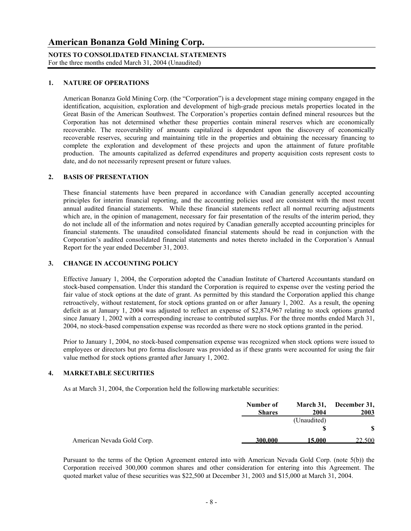**NOTES TO CONSOLIDATED FINANCIAL STATEMENTS** For the three months ended March 31, 2004 (Unaudited)

#### **1. NATURE OF OPERATIONS**

American Bonanza Gold Mining Corp. (the "Corporation") is a development stage mining company engaged in the identification, acquisition, exploration and development of high-grade precious metals properties located in the Great Basin of the American Southwest. The Corporation's properties contain defined mineral resources but the Corporation has not determined whether these properties contain mineral reserves which are economically recoverable. The recoverability of amounts capitalized is dependent upon the discovery of economically recoverable reserves, securing and maintaining title in the properties and obtaining the necessary financing to complete the exploration and development of these projects and upon the attainment of future profitable production. The amounts capitalized as deferred expenditures and property acquisition costs represent costs to date, and do not necessarily represent present or future values.

#### **2. BASIS OF PRESENTATION**

These financial statements have been prepared in accordance with Canadian generally accepted accounting principles for interim financial reporting, and the accounting policies used are consistent with the most recent annual audited financial statements. While these financial statements reflect all normal recurring adjustments which are, in the opinion of management, necessary for fair presentation of the results of the interim period, they do not include all of the information and notes required by Canadian generally accepted accounting principles for financial statements. The unaudited consolidated financial statements should be read in conjunction with the Corporation's audited consolidated financial statements and notes thereto included in the Corporation's Annual Report for the year ended December 31, 2003.

#### **3. CHANGE IN ACCOUNTING POLICY**

Effective January 1, 2004, the Corporation adopted the Canadian Institute of Chartered Accountants standard on stock-based compensation. Under this standard the Corporation is required to expense over the vesting period the fair value of stock options at the date of grant. As permitted by this standard the Corporation applied this change retroactively, without restatement, for stock options granted on or after January 1, 2002. As a result, the opening deficit as at January 1, 2004 was adjusted to reflect an expense of \$2,874,967 relating to stock options granted since January 1, 2002 with a corresponding increase to contributed surplus. For the three months ended March 31, 2004, no stock-based compensation expense was recorded as there were no stock options granted in the period.

Prior to January 1, 2004, no stock-based compensation expense was recognized when stock options were issued to employees or directors but pro forma disclosure was provided as if these grants were accounted for using the fair value method for stock options granted after January 1, 2002.

#### **4. MARKETABLE SECURITIES**

As at March 31, 2004, the Corporation held the following marketable securities:

|                            | Number of<br><b>Shares</b> | 2004        | March 31, December 31,<br>2003 |
|----------------------------|----------------------------|-------------|--------------------------------|
|                            |                            | (Unaudited) |                                |
|                            |                            |             |                                |
| American Nevada Gold Corp. | 300,000                    | 15.000      | 22.500                         |

Pursuant to the terms of the Option Agreement entered into with American Nevada Gold Corp. (note 5(b)) the Corporation received 300,000 common shares and other consideration for entering into this Agreement. The quoted market value of these securities was \$22,500 at December 31, 2003 and \$15,000 at March 31, 2004.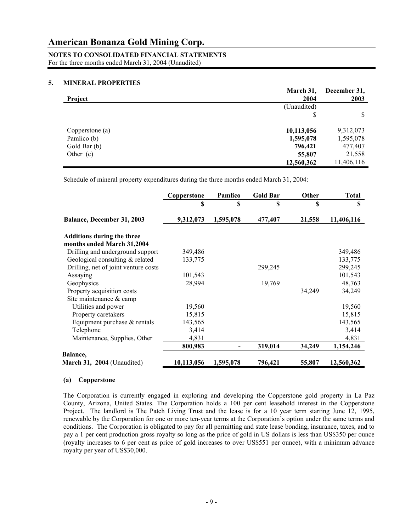# **NOTES TO CONSOLIDATED FINANCIAL STATEMENTS**

For the three months ended March 31, 2004 (Unaudited)

#### **5. MINERAL PROPERTIES**

|                 | March 31,   | December 31, |
|-----------------|-------------|--------------|
| Project         | 2004        | 2003         |
|                 | (Unaudited) |              |
|                 |             |              |
| Copperstone (a) | 10,113,056  | 9,312,073    |
| Pamlico (b)     | 1,595,078   | 1,595,078    |
| Gold Bar (b)    | 796,421     | 477,407      |
| Other $(c)$     | 55,807      | 21,558       |
|                 | 12,560,362  | 11,406,116   |

Schedule of mineral property expenditures during the three months ended March 31, 2004:

|                                                                 | Copperstone | Pamlico   | <b>Gold Bar</b> | Other  | <b>Total</b> |
|-----------------------------------------------------------------|-------------|-----------|-----------------|--------|--------------|
|                                                                 | S           | S         | S               | S      | S            |
| <b>Balance, December 31, 2003</b>                               | 9,312,073   | 1,595,078 | 477,407         | 21,558 | 11,406,116   |
| <b>Additions during the three</b><br>months ended March 31,2004 |             |           |                 |        |              |
| Drilling and underground support                                | 349,486     |           |                 |        | 349,486      |
| Geological consulting & related                                 | 133,775     |           |                 |        | 133,775      |
| Drilling, net of joint venture costs                            |             |           | 299,245         |        | 299,245      |
| Assaying                                                        | 101,543     |           |                 |        | 101,543      |
| Geophysics                                                      | 28,994      |           | 19,769          |        | 48,763       |
| Property acquisition costs                                      |             |           |                 | 34,249 | 34,249       |
| Site maintenance $&$ camp                                       |             |           |                 |        |              |
| Utilities and power                                             | 19,560      |           |                 |        | 19,560       |
| Property caretakers                                             | 15,815      |           |                 |        | 15,815       |
| Equipment purchase $&$ rentals                                  | 143,565     |           |                 |        | 143,565      |
| Telephone                                                       | 3,414       |           |                 |        | 3,414        |
| Maintenance, Supplies, Other                                    | 4,831       |           |                 |        | 4,831        |
|                                                                 | 800,983     |           | 319,014         | 34,249 | 1,154,246    |
| Balance,                                                        |             |           |                 |        |              |
| March 31, 2004 (Unaudited)                                      | 10,113,056  | 1,595,078 | 796,421         | 55,807 | 12,560,362   |

#### **(a) Copperstone**

The Corporation is currently engaged in exploring and developing the Copperstone gold property in La Paz County, Arizona, United States. The Corporation holds a 100 per cent leasehold interest in the Copperstone Project. The landlord is The Patch Living Trust and the lease is for a 10 year term starting June 12, 1995, renewable by the Corporation for one or more ten-year terms at the Corporation's option under the same terms and conditions. The Corporation is obligated to pay for all permitting and state lease bonding, insurance, taxes, and to pay a 1 per cent production gross royalty so long as the price of gold in US dollars is less than US\$350 per ounce (royalty increases to 6 per cent as price of gold increases to over US\$551 per ounce), with a minimum advance royalty per year of US\$30,000.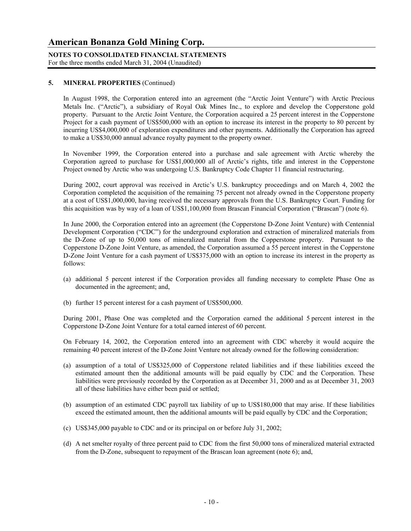**NOTES TO CONSOLIDATED FINANCIAL STATEMENTS** For the three months ended March 31, 2004 (Unaudited)

#### **5. MINERAL PROPERTIES** (Continued)

In August 1998, the Corporation entered into an agreement (the "Arctic Joint Venture") with Arctic Precious Metals Inc. ("Arctic"), a subsidiary of Royal Oak Mines Inc., to explore and develop the Copperstone gold property. Pursuant to the Arctic Joint Venture, the Corporation acquired a 25 percent interest in the Copperstone Project for a cash payment of US\$500,000 with an option to increase its interest in the property to 80 percent by incurring US\$4,000,000 of exploration expenditures and other payments. Additionally the Corporation has agreed to make a US\$30,000 annual advance royalty payment to the property owner.

 In November 1999, the Corporation entered into a purchase and sale agreement with Arctic whereby the Corporation agreed to purchase for US\$1,000,000 all of Arctic's rights, title and interest in the Copperstone Project owned by Arctic who was undergoing U.S. Bankruptcy Code Chapter 11 financial restructuring.

During 2002, court approval was received in Arctic's U.S. bankruptcy proceedings and on March 4, 2002 the Corporation completed the acquisition of the remaining 75 percent not already owned in the Copperstone property at a cost of US\$1,000,000, having received the necessary approvals from the U.S. Bankruptcy Court. Funding for this acquisition was by way of a loan of US\$1,100,000 from Brascan Financial Corporation ("Brascan") (note 6).

 In June 2000, the Corporation entered into an agreement (the Copperstone D-Zone Joint Venture) with Centennial Development Corporation ("CDC") for the underground exploration and extraction of mineralized materials from the D-Zone of up to 50,000 tons of mineralized material from the Copperstone property. Pursuant to the Copperstone D-Zone Joint Venture, as amended, the Corporation assumed a 55 percent interest in the Copperstone D-Zone Joint Venture for a cash payment of US\$375,000 with an option to increase its interest in the property as follows:

- (a) additional 5 percent interest if the Corporation provides all funding necessary to complete Phase One as documented in the agreement; and,
- (b) further 15 percent interest for a cash payment of US\$500,000.

 During 2001, Phase One was completed and the Corporation earned the additional 5 percent interest in the Copperstone D-Zone Joint Venture for a total earned interest of 60 percent.

 On February 14, 2002, the Corporation entered into an agreement with CDC whereby it would acquire the remaining 40 percent interest of the D-Zone Joint Venture not already owned for the following consideration:

- (a) assumption of a total of US\$325,000 of Copperstone related liabilities and if these liabilities exceed the estimated amount then the additional amounts will be paid equally by CDC and the Corporation. These liabilities were previously recorded by the Corporation as at December 31, 2000 and as at December 31, 2003 all of these liabilities have either been paid or settled;
- (b) assumption of an estimated CDC payroll tax liability of up to US\$180,000 that may arise. If these liabilities exceed the estimated amount, then the additional amounts will be paid equally by CDC and the Corporation;
- (c) US\$345,000 payable to CDC and or its principal on or before July 31, 2002;
- (d) A net smelter royalty of three percent paid to CDC from the first 50,000 tons of mineralized material extracted from the D-Zone, subsequent to repayment of the Brascan loan agreement (note 6); and,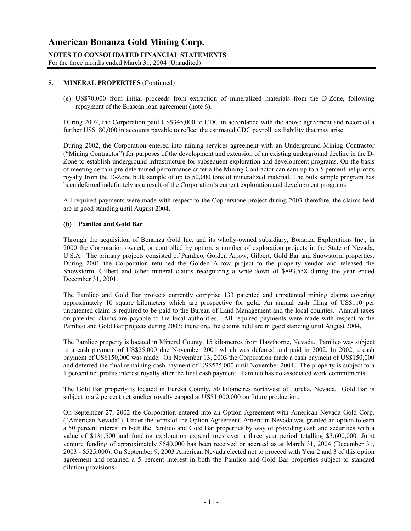#### **NOTES TO CONSOLIDATED FINANCIAL STATEMENTS** For the three months ended March 31, 2004 (Unaudited)

#### **5. MINERAL PROPERTIES** (Continued)

(e) US\$70,000 from initial proceeds from extraction of mineralized materials from the D-Zone, following repayment of the Brascan loan agreement (note 6).

During 2002, the Corporation paid US\$345,000 to CDC in accordance with the above agreement and recorded a further US\$180,000 in accounts payable to reflect the estimated CDC payroll tax liability that may arise.

 During 2002, the Corporation entered into mining services agreement with an Underground Mining Contractor ("Mining Contractor") for purposes of the development and extension of an existing underground decline in the D-Zone to establish underground infrastructure for subsequent exploration and development programs. On the basis of meeting certain pre-determined performance criteria the Mining Contractor can earn up to a 5 percent net profits royalty from the D-Zone bulk sample of up to 50,000 tons of mineralized material. The bulk sample program has been deferred indefinitely as a result of the Corporation's current exploration and development programs.

All required payments were made with respect to the Copperstone project during 2003 therefore, the claims held are in good standing until August 2004.

#### **(b) Pamlico and Gold Bar**

 Through the acquisition of Bonanza Gold Inc. and its wholly-owned subsidiary, Bonanza Explorations Inc., in 2000 the Corporation owned, or controlled by option, a number of exploration projects in the State of Nevada, U.S.A. The primary projects consisted of Pamlico, Golden Arrow, Gilbert, Gold Bar and Snowstorm properties. During 2001 the Corporation returned the Golden Arrow project to the property vendor and released the Snowstorm, Gilbert and other mineral claims recognizing a write-down of \$893,558 during the year ended December 31, 2001.

 The Pamlico and Gold Bar projects currently comprise 133 patented and unpatented mining claims covering approximately 10 square kilometers which are prospective for gold. An annual cash filing of US\$110 per unpatented claim is required to be paid to the Bureau of Land Management and the local counties. Annual taxes on patented claims are payable to the local authorities. All required payments were made with respect to the Pamlico and Gold Bar projects during 2003; therefore, the claims held are in good standing until August 2004.

 The Pamlico property is located in Mineral County, 15 kilometres from Hawthorne, Nevada. Pamlico was subject to a cash payment of US\$25,000 due November 2001 which was deferred and paid in 2002. In 2002, a cash payment of US\$150,000 was made. On November 13, 2003 the Corporation made a cash payment of US\$150,000 and deferred the final remaining cash payment of US\$525,000 until November 2004. The property is subject to a 1 percent net profits interest royalty after the final cash payment. Pamlico has no associated work commitments.

 The Gold Bar property is located in Eureka County, 50 kilometres northwest of Eureka, Nevada. Gold Bar is subject to a 2 percent net smelter royalty capped at US\$1,000,000 on future production.

On September 27, 2002 the Corporation entered into an Option Agreement with American Nevada Gold Corp. ("American Nevada"). Under the terms of the Option Agreement, American Nevada was granted an option to earn a 50 percent interest in both the Pamlico and Gold Bar properties by way of providing cash and securities with a value of \$131,500 and funding exploration expenditures over a three year period totalling \$3,600,000. Joint venture funding of approximately \$540,000 has been received or accrued as at March 31, 2004 (December 31, 2003 - \$525,000). On September 9, 2003 American Nevada elected not to proceed with Year 2 and 3 of this option agreement and retained a 5 percent interest in both the Pamlico and Gold Bar properties subject to standard dilution provisions.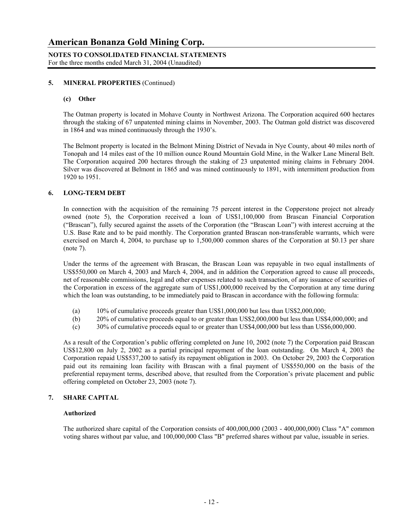#### **5. MINERAL PROPERTIES** (Continued)

#### **(c) Other**

The Oatman property is located in Mohave County in Northwest Arizona. The Corporation acquired 600 hectares through the staking of 67 unpatented mining claims in November, 2003. The Oatman gold district was discovered in 1864 and was mined continuously through the 1930's.

The Belmont property is located in the Belmont Mining District of Nevada in Nye County, about 40 miles north of Tonopah and 14 miles east of the 10 million ounce Round Mountain Gold Mine, in the Walker Lane Mineral Belt. The Corporation acquired 200 hectares through the staking of 23 unpatented mining claims in February 2004. Silver was discovered at Belmont in 1865 and was mined continuously to 1891, with intermittent production from 1920 to 1951.

#### **6. LONG-TERM DEBT**

In connection with the acquisition of the remaining 75 percent interest in the Copperstone project not already owned (note 5), the Corporation received a loan of US\$1,100,000 from Brascan Financial Corporation ("Brascan"), fully secured against the assets of the Corporation (the "Brascan Loan") with interest accruing at the U.S. Base Rate and to be paid monthly. The Corporation granted Brascan non-transferable warrants, which were exercised on March 4, 2004, to purchase up to 1,500,000 common shares of the Corporation at \$0.13 per share (note 7).

Under the terms of the agreement with Brascan, the Brascan Loan was repayable in two equal installments of US\$550,000 on March 4, 2003 and March 4, 2004, and in addition the Corporation agreed to cause all proceeds, net of reasonable commissions, legal and other expenses related to such transaction, of any issuance of securities of the Corporation in excess of the aggregate sum of US\$1,000,000 received by the Corporation at any time during which the loan was outstanding, to be immediately paid to Brascan in accordance with the following formula:

- (a) 10% of cumulative proceeds greater than US\$1,000,000 but less than US\$2,000,000;
- (b) 20% of cumulative proceeds equal to or greater than US\$2,000,000 but less than US\$4,000,000; and
- (c) 30% of cumulative proceeds equal to or greater than US\$4,000,000 but less than US\$6,000,000.

As a result of the Corporation's public offering completed on June 10, 2002 (note 7) the Corporation paid Brascan US\$12,800 on July 2, 2002 as a partial principal repayment of the loan outstanding. On March 4, 2003 the Corporation repaid US\$537,200 to satisfy its repayment obligation in 2003. On October 29, 2003 the Corporation paid out its remaining loan facility with Brascan with a final payment of US\$550,000 on the basis of the preferential repayment terms, described above, that resulted from the Corporation's private placement and public offering completed on October 23, 2003 (note 7).

#### **7. SHARE CAPITAL**

#### **Authorized**

The authorized share capital of the Corporation consists of 400,000,000 (2003 - 400,000,000) Class "A" common voting shares without par value, and 100,000,000 Class "B" preferred shares without par value, issuable in series.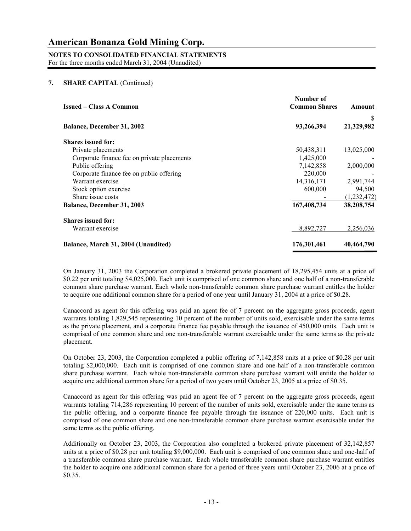# **NOTES TO CONSOLIDATED FINANCIAL STATEMENTS**

For the three months ended March 31, 2004 (Unaudited)

#### **7. SHARE CAPITAL** (Continued)

| <b>Issued – Class A Common</b>              | Number of<br><b>Common Shares</b> | Amount          |
|---------------------------------------------|-----------------------------------|-----------------|
| <b>Balance, December 31, 2002</b>           | 93,266,394                        | S<br>21,329,982 |
|                                             |                                   |                 |
| <b>Shares issued for:</b>                   |                                   |                 |
| Private placements                          | 50,438,311                        | 13,025,000      |
| Corporate finance fee on private placements | 1,425,000                         |                 |
| Public offering                             | 7,142,858                         | 2,000,000       |
| Corporate finance fee on public offering    | 220,000                           |                 |
| Warrant exercise                            | 14,316,171                        | 2,991,744       |
| Stock option exercise                       | 600,000                           | 94,500          |
| Share issue costs                           |                                   | (1, 232, 472)   |
| <b>Balance, December 31, 2003</b>           | 167,408,734                       | 38,208,754      |
| <b>Shares issued for:</b>                   |                                   |                 |
| Warrant exercise                            | 8,892,727                         | 2,256,036       |
| Balance, March 31, 2004 (Unaudited)         | 176,301,461                       | 40,464,790      |

On January 31, 2003 the Corporation completed a brokered private placement of 18,295,454 units at a price of \$0.22 per unit totaling \$4,025,000. Each unit is comprised of one common share and one half of a non-transferable common share purchase warrant. Each whole non-transferable common share purchase warrant entitles the holder to acquire one additional common share for a period of one year until January 31, 2004 at a price of \$0.28.

Canaccord as agent for this offering was paid an agent fee of 7 percent on the aggregate gross proceeds, agent warrants totaling 1,829,545 representing 10 percent of the number of units sold, exercisable under the same terms as the private placement, and a corporate finance fee payable through the issuance of 450,000 units. Each unit is comprised of one common share and one non-transferable warrant exercisable under the same terms as the private placement.

On October 23, 2003, the Corporation completed a public offering of 7,142,858 units at a price of \$0.28 per unit totaling \$2,000,000. Each unit is comprised of one common share and one-half of a non-transferable common share purchase warrant. Each whole non-transferable common share purchase warrant will entitle the holder to acquire one additional common share for a period of two years until October 23, 2005 at a price of \$0.35.

Canaccord as agent for this offering was paid an agent fee of 7 percent on the aggregate gross proceeds, agent warrants totaling 714,286 representing 10 percent of the number of units sold, exercisable under the same terms as the public offering, and a corporate finance fee payable through the issuance of 220,000 units. Each unit is comprised of one common share and one non-transferable common share purchase warrant exercisable under the same terms as the public offering.

Additionally on October 23, 2003, the Corporation also completed a brokered private placement of 32,142,857 units at a price of \$0.28 per unit totaling \$9,000,000. Each unit is comprised of one common share and one-half of a transferable common share purchase warrant. Each whole transferable common share purchase warrant entitles the holder to acquire one additional common share for a period of three years until October 23, 2006 at a price of \$0.35.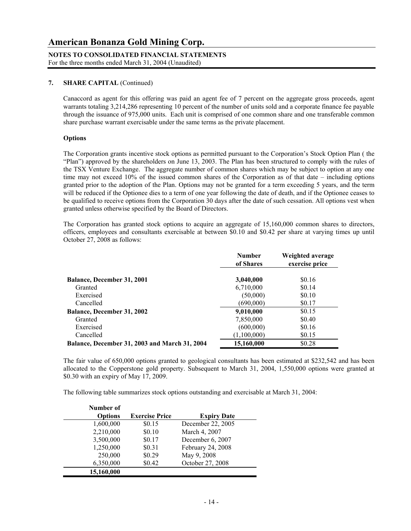**NOTES TO CONSOLIDATED FINANCIAL STATEMENTS** For the three months ended March 31, 2004 (Unaudited)

#### **7. SHARE CAPITAL** (Continued)

Canaccord as agent for this offering was paid an agent fee of 7 percent on the aggregate gross proceeds, agent warrants totaling 3,214,286 representing 10 percent of the number of units sold and a corporate finance fee payable through the issuance of 975,000 units. Each unit is comprised of one common share and one transferable common share purchase warrant exercisable under the same terms as the private placement.

#### **Options**

The Corporation grants incentive stock options as permitted pursuant to the Corporation's Stock Option Plan ( the "Plan") approved by the shareholders on June 13, 2003. The Plan has been structured to comply with the rules of the TSX Venture Exchange. The aggregate number of common shares which may be subject to option at any one time may not exceed 10% of the issued common shares of the Corporation as of that date – including options granted prior to the adoption of the Plan. Options may not be granted for a term exceeding 5 years, and the term will be reduced if the Optionee dies to a term of one year following the date of death, and if the Optionee ceases to be qualified to receive options from the Corporation 30 days after the date of such cessation. All options vest when granted unless otherwise specified by the Board of Directors.

 The Corporation has granted stock options to acquire an aggregate of 15,160,000 common shares to directors, officers, employees and consultants exercisable at between \$0.10 and \$0.42 per share at varying times up until October 27, 2008 as follows:

|                                               | <b>Number</b><br>of Shares | Weighted average<br>exercise price |
|-----------------------------------------------|----------------------------|------------------------------------|
| <b>Balance, December 31, 2001</b>             | 3,040,000                  | \$0.16                             |
| Granted                                       | 6,710,000                  | \$0.14                             |
| Exercised                                     | (50,000)                   | \$0.10                             |
| Cancelled                                     | (690,000)                  | \$0.17                             |
| <b>Balance, December 31, 2002</b>             | 9,010,000                  | \$0.15                             |
| Granted                                       | 7,850,000                  | \$0.40                             |
| Exercised                                     | (600,000)                  | \$0.16                             |
| Cancelled                                     | (1,100,000)                | \$0.15                             |
| Balance, December 31, 2003 and March 31, 2004 | 15,160,000                 | \$0.28                             |

 The fair value of 650,000 options granted to geological consultants has been estimated at \$232,542 and has been allocated to the Copperstone gold property. Subsequent to March 31, 2004, 1,550,000 options were granted at \$0.30 with an expiry of May 17, 2009.

The following table summarizes stock options outstanding and exercisable at March 31, 2004:

| Number of      |                       |                    |
|----------------|-----------------------|--------------------|
| <b>Options</b> | <b>Exercise Price</b> | <b>Expiry Date</b> |
| 1,600,000      | \$0.15                | December 22, 2005  |
| 2,210,000      | \$0.10                | March 4, 2007      |
| 3,500,000      | \$0.17                | December 6, 2007   |
| 1,250,000      | \$0.31                | February 24, 2008  |
| 250,000        | \$0.29                | May 9, 2008        |
| 6,350,000      | \$0.42                | October 27, 2008   |
| 15,160,000     |                       |                    |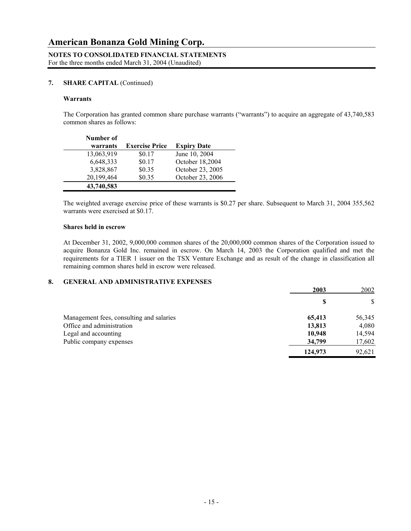#### **7. SHARE CAPITAL** (Continued)

#### **Warrants**

 The Corporation has granted common share purchase warrants ("warrants") to acquire an aggregate of 43,740,583 common shares as follows:

| Number of  |                       |                    |
|------------|-----------------------|--------------------|
| warrants   | <b>Exercise Price</b> | <b>Expiry Date</b> |
| 13,063,919 | \$0.17                | June 10, 2004      |
| 6,648,333  | \$0.17                | October 18,2004    |
| 3,828,867  | \$0.35                | October 23, 2005   |
| 20,199,464 | \$0.35                | October 23, 2006   |
| 43,740,583 |                       |                    |

The weighted average exercise price of these warrants is \$0.27 per share. Subsequent to March 31, 2004 355,562 warrants were exercised at \$0.17.

#### **Shares held in escrow**

 At December 31, 2002, 9,000,000 common shares of the 20,000,000 common shares of the Corporation issued to acquire Bonanza Gold Inc. remained in escrow. On March 14, 2003 the Corporation qualified and met the requirements for a TIER 1 issuer on the TSX Venture Exchange and as result of the change in classification all remaining common shares held in escrow were released.

#### **8. GENERAL AND ADMINISTRATIVE EXPENSES**

|                                          | 2003    | 2002   |
|------------------------------------------|---------|--------|
|                                          | S       | \$     |
| Management fees, consulting and salaries | 65,413  | 56,345 |
| Office and administration                | 13,813  | 4,080  |
| Legal and accounting                     | 10,948  | 14,594 |
| Public company expenses                  | 34,799  | 17,602 |
|                                          | 124,973 | 92.621 |